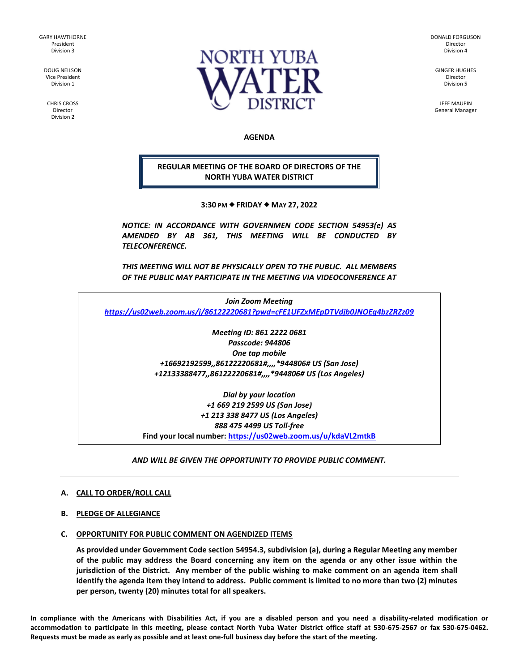GARY HAWTHORNE President Division 3

> DOUG NEILSON Vice President Division 1

CHRIS CROSS Director Division 2



DONALD FORGUSON Director Division 4

GINGER HUGHES Director Division 5

JEFF MAUPIN General Manager

## **AGENDA**

**REGULAR MEETING OF THE BOARD OF DIRECTORS OF THE NORTH YUBA WATER DISTRICT**

**3:30 PM FRIDAY MAY 27, 2022**

*NOTICE: IN ACCORDANCE WITH GOVERNMEN CODE SECTION 54953(e) AS AMENDED BY AB 361, THIS MEETING WILL BE CONDUCTED BY TELECONFERENCE.*

*THIS MEETING WILL NOT BE PHYSICALLY OPEN TO THE PUBLIC. ALL MEMBERS OF THE PUBLIC MAY PARTICIPATE IN THE MEETING VIA VIDEOCONFERENCE AT* 

*Join Zoom Meeting <https://us02web.zoom.us/j/86122220681?pwd=cFE1UFZxMEpDTVdjb0JNOEg4bzZRZz09>*

> *Meeting ID: 861 2222 0681 Passcode: 944806 One tap mobile +16692192599,,86122220681#,,,,\*944806# US (San Jose) +12133388477,,86122220681#,,,,\*944806# US (Los Angeles)*

*Dial by your location +1 669 219 2599 US (San Jose) +1 213 338 8477 US (Los Angeles) 888 475 4499 US Toll-free* **Find your local number[: https://us02web.zoom.us/u/kdaVL2mtkB](https://us02web.zoom.us/u/kdaVL2mtkB)**

*AND WILL BE GIVEN THE OPPORTUNITY TO PROVIDE PUBLIC COMMENT.* 

### **A. CALL TO ORDER/ROLL CALL**

#### **B. PLEDGE OF ALLEGIANCE**

### **C. OPPORTUNITY FOR PUBLIC COMMENT ON AGENDIZED ITEMS**

**As provided under Government Code section 54954.3, subdivision (a), during a Regular Meeting any member of the public may address the Board concerning any item on the agenda or any other issue within the jurisdiction of the District. Any member of the public wishing to make comment on an agenda item shall identify the agenda item they intend to address. Public comment is limited to no more than two (2) minutes per person, twenty (20) minutes total for all speakers.**

**In compliance with the Americans with Disabilities Act, if you are a disabled person and you need a disability-related modification or accommodation to participate in this meeting, please contact North Yuba Water District office staff at 530-675-2567 or fax 530-675-0462. Requests must be made as early as possible and at least one-full business day before the start of the meeting.**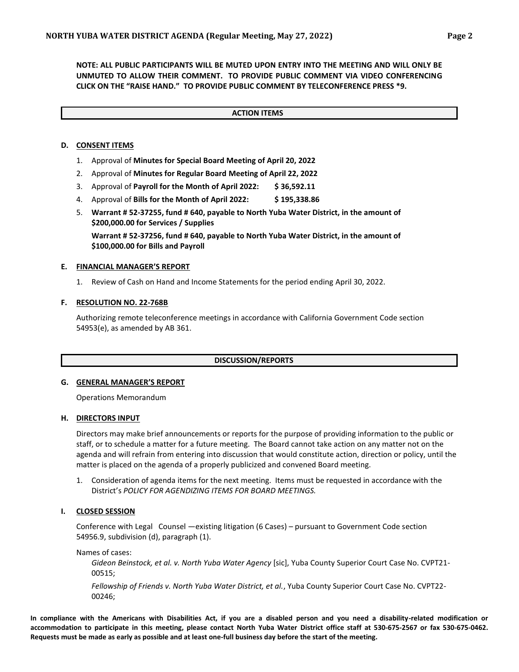**NOTE: ALL PUBLIC PARTICIPANTS WILL BE MUTED UPON ENTRY INTO THE MEETING AND WILL ONLY BE UNMUTED TO ALLOW THEIR COMMENT. TO PROVIDE PUBLIC COMMENT VIA VIDEO CONFERENCING CLICK ON THE "RAISE HAND." TO PROVIDE PUBLIC COMMENT BY TELECONFERENCE PRESS \*9.**

### **ACTION ITEMS**

## **D. CONSENT ITEMS**

- 1. Approval of **Minutes for Special Board Meeting of April 20, 2022**
- 2. Approval of **Minutes for Regular Board Meeting of April 22, 2022**
- 3. Approval of **Payroll for the Month of April 2022: \$ 36,592.11**
- 4. Approval of **Bills for the Month of April 2022: \$ 195,338.86**
- 5. **Warrant # 52-37255, fund # 640, payable to North Yuba Water District, in the amount of \$200,000.00 for Services / Supplies**

**Warrant # 52-37256, fund # 640, payable to North Yuba Water District, in the amount of \$100,000.00 for Bills and Payroll**

### **E. FINANCIAL MANAGER'S REPORT**

1. Review of Cash on Hand and Income Statements for the period ending April 30, 2022.

### **F. RESOLUTION NO. 22-768B**

Authorizing remote teleconference meetings in accordance with California Government Code section 54953(e), as amended by AB 361.

#### **DISCUSSION/REPORTS**

### **G. GENERAL MANAGER'S REPORT**

Operations Memorandum

#### **H. DIRECTORS INPUT**

Directors may make brief announcements or reports for the purpose of providing information to the public or staff, or to schedule a matter for a future meeting. The Board cannot take action on any matter not on the agenda and will refrain from entering into discussion that would constitute action, direction or policy, until the matter is placed on the agenda of a properly publicized and convened Board meeting.

1. Consideration of agenda items for the next meeting. Items must be requested in accordance with the District's *POLICY FOR AGENDIZING ITEMS FOR BOARD MEETINGS.*

## **I. CLOSED SESSION**

Conference with Legal Counsel —existing litigation (6 Cases) – pursuant to Government Code section 54956.9, subdivision (d), paragraph (1).

Names of cases:

*Gideon Beinstock, et al. v. North Yuba Water Agency* [sic], Yuba County Superior Court Case No. CVPT21- 00515;

*Fellowship of Friends v. North Yuba Water District, et al.*, Yuba County Superior Court Case No. CVPT22- 00246;

**In compliance with the Americans with Disabilities Act, if you are a disabled person and you need a disability-related modification or accommodation to participate in this meeting, please contact North Yuba Water District office staff at 530-675-2567 or fax 530-675-0462. Requests must be made as early as possible and at least one-full business day before the start of the meeting.**